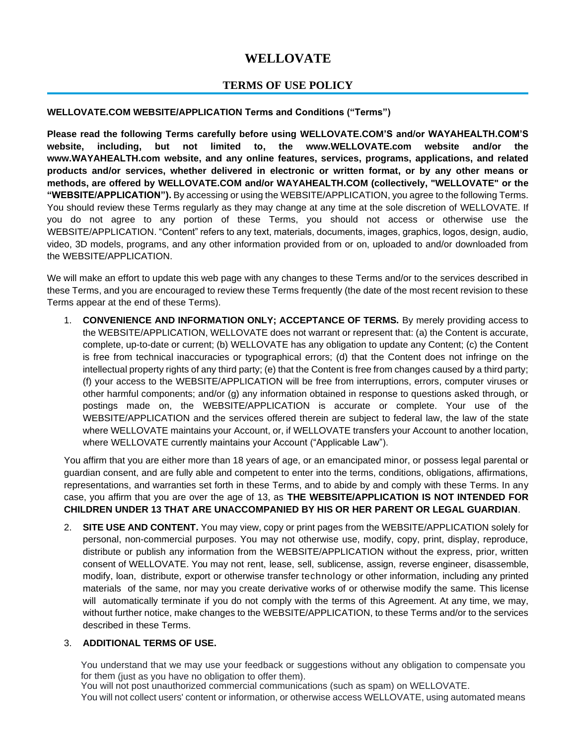# **WELLOVATE**

# **TERMS OF USE POLICY**

#### **WELLOVATE.COM WEBSITE/APPLICATION Terms and Conditions ("Terms")**

**Please read the following Terms carefully before using WELLOVATE.COM'S and/or WAYAHEALTH.COM'S website, including, but not limited to, the www.WELLOVATE.com website and/or the www.WAYAHEALTH.com website, and any online features, services, programs, applications, and related products and/or services, whether delivered in electronic or written format, or by any other means or methods, are offered by WELLOVATE.COM and/or WAYAHEALTH.COM (collectively, "WELLOVATE" or the "WEBSITE/APPLICATION").** By accessing or using the WEBSITE/APPLICATION, you agree to the following Terms. You should review these Terms regularly as they may change at any time at the sole discretion of WELLOVATE. If you do not agree to any portion of these Terms, you should not access or otherwise use the WEBSITE/APPLICATION. "Content" refers to any text, materials, documents, images, graphics, logos, design, audio, video, 3D models, programs, and any other information provided from or on, uploaded to and/or downloaded from the WEBSITE/APPLICATION.

We will make an effort to update this web page with any changes to these Terms and/or to the services described in these Terms, and you are encouraged to review these Terms frequently (the date of the most recent revision to these Terms appear at the end of these Terms).

1. **CONVENIENCE AND INFORMATION ONLY; ACCEPTANCE OF TERMS.** By merely providing access to the WEBSITE/APPLICATION, WELLOVATE does not warrant or represent that: (a) the Content is accurate, complete, up-to-date or current; (b) WELLOVATE has any obligation to update any Content; (c) the Content is free from technical inaccuracies or typographical errors; (d) that the Content does not infringe on the intellectual property rights of any third party; (e) that the Content is free from changes caused by a third party; (f) your access to the WEBSITE/APPLICATION will be free from interruptions, errors, computer viruses or other harmful components; and/or (g) any information obtained in response to questions asked through, or postings made on, the WEBSITE/APPLICATION is accurate or complete. Your use of the WEBSITE/APPLICATION and the services offered therein are subject to federal law, the law of the state where WELLOVATE maintains your Account, or, if WELLOVATE transfers your Account to another location, where WELLOVATE currently maintains your Account ("Applicable Law").

You affirm that you are either more than 18 years of age, or an emancipated minor, or possess legal parental or guardian consent, and are fully able and competent to enter into the terms, conditions, obligations, affirmations, representations, and warranties set forth in these Terms, and to abide by and comply with these Terms. In any case, you affirm that you are over the age of 13, as **THE WEBSITE/APPLICATION IS NOT INTENDED FOR CHILDREN UNDER 13 THAT ARE UNACCOMPANIED BY HIS OR HER PARENT OR LEGAL GUARDIAN**.

2. **SITE USE AND CONTENT.** You may view, copy or print pages from the WEBSITE/APPLICATION solely for personal, non-commercial purposes. You may not otherwise use, modify, copy, print, display, reproduce, distribute or publish any information from the WEBSITE/APPLICATION without the express, prior, written consent of WELLOVATE. You may not rent, lease, sell, sublicense, assign, reverse engineer, disassemble, modify, loan, distribute, export or otherwise transfer technology or other information, including any printed materials of the same, nor may you create derivative works of or otherwise modify the same. This license will automatically terminate if you do not comply with the terms of this Agreement. At any time, we may, without further notice, make changes to the WEBSITE/APPLICATION, to these Terms and/or to the services described in these Terms.

#### 3. **ADDITIONAL TERMS OF USE.**

You understand that we may use your feedback or suggestions without any obligation to compensate you for them (just as you have no obligation to offer them).

You will not post unauthorized commercial communications (such as spam) on WELLOVATE. You will not collect users' content or information, or otherwise access WELLOVATE, using automated means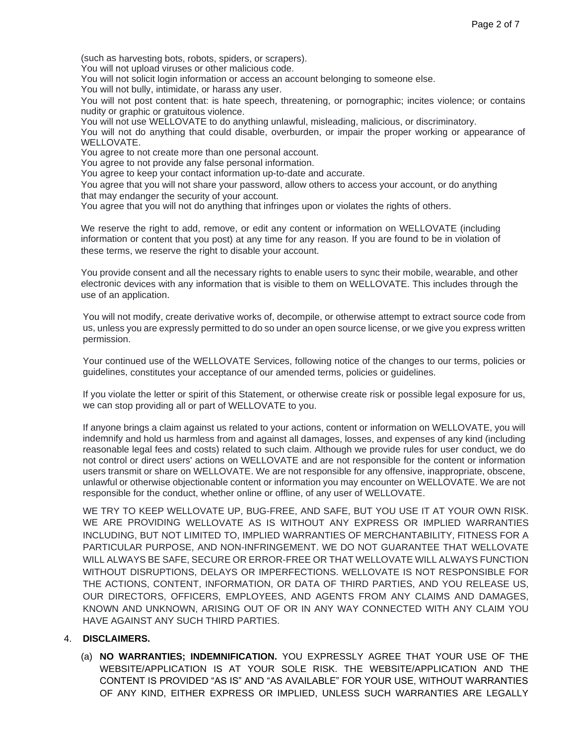(such as harvesting bots, robots, spiders, or scrapers).

You will not upload viruses or other malicious code.

You will not solicit login information or access an account belonging to someone else.

You will not bully, intimidate, or harass any user.

You will not post content that: is hate speech, threatening, or pornographic; incites violence; or contains nudity or graphic or gratuitous violence.

You will not use WELLOVATE to do anything unlawful, misleading, malicious, or discriminatory.

You will not do anything that could disable, overburden, or impair the proper working or appearance of WELLOVATE.

You agree to not create more than one personal account.

You agree to not provide any false personal information.

You agree to keep your contact information up-to-date and accurate.

You agree that you will not share your password, allow others to access your account, or do anything that may endanger the security of your account.

You agree that you will not do anything that infringes upon or violates the rights of others.

We reserve the right to add, remove, or edit any content or information on WELLOVATE (including information or content that you post) at any time for any reason. If you are found to be in violation of these terms, we reserve the right to disable your account.

You provide consent and all the necessary rights to enable users to sync their mobile, wearable, and other electronic devices with any information that is visible to them on WELLOVATE. This includes through the use of an application.

You will not modify, create derivative works of, decompile, or otherwise attempt to extract source code from us, unless you are expressly permitted to do so under an open source license, or we give you express written permission.

Your continued use of the WELLOVATE Services, following notice of the changes to our terms, policies or guidelines, constitutes your acceptance of our amended terms, policies or guidelines.

If you violate the letter or spirit of this Statement, or otherwise create risk or possible legal exposure for us, we can stop providing all or part of WELLOVATE to you.

If anyone brings a claim against us related to your actions, content or information on WELLOVATE, you will indemnify and hold us harmless from and against all damages, losses, and expenses of any kind (including reasonable legal fees and costs) related to such claim. Although we provide rules for user conduct, we do not control or direct users' actions on WELLOVATE and are not responsible for the content or information users transmit or share on WELLOVATE. We are not responsible for any offensive, inappropriate, obscene, unlawful or otherwise objectionable content or information you may encounter on WELLOVATE. We are not responsible for the conduct, whether online or offline, of any user of WELLOVATE.

WE TRY TO KEEP WELLOVATE UP, BUG-FREE, AND SAFE, BUT YOU USE IT AT YOUR OWN RISK. WE ARE PROVIDING WELLOVATE AS IS WITHOUT ANY EXPRESS OR IMPLIED WARRANTIES INCLUDING, BUT NOT LIMITED TO, IMPLIED WARRANTIES OF MERCHANTABILITY, FITNESS FOR A PARTICULAR PURPOSE, AND NON-INFRINGEMENT. WE DO NOT GUARANTEE THAT WELLOVATE WILL ALWAYS BE SAFE, SECURE OR ERROR-FREE OR THAT WELLOVATE WILL ALWAYS FUNCTION WITHOUT DISRUPTIONS, DELAYS OR IMPERFECTIONS. WELLOVATE IS NOT RESPONSIBLE FOR THE ACTIONS, CONTENT, INFORMATION, OR DATA OF THIRD PARTIES, AND YOU RELEASE US, OUR DIRECTORS, OFFICERS, EMPLOYEES, AND AGENTS FROM ANY CLAIMS AND DAMAGES, KNOWN AND UNKNOWN, ARISING OUT OF OR IN ANY WAY CONNECTED WITH ANY CLAIM YOU HAVE AGAINST ANY SUCH THIRD PARTIES.

## 4. **DISCLAIMERS.**

(a) **NO WARRANTIES; INDEMNIFICATION.** YOU EXPRESSLY AGREE THAT YOUR USE OF THE WEBSITE/APPLICATION IS AT YOUR SOLE RISK. THE WEBSITE/APPLICATION AND THE CONTENT IS PROVIDED "AS IS" AND "AS AVAILABLE" FOR YOUR USE, WITHOUT WARRANTIES OF ANY KIND, EITHER EXPRESS OR IMPLIED, UNLESS SUCH WARRANTIES ARE LEGALLY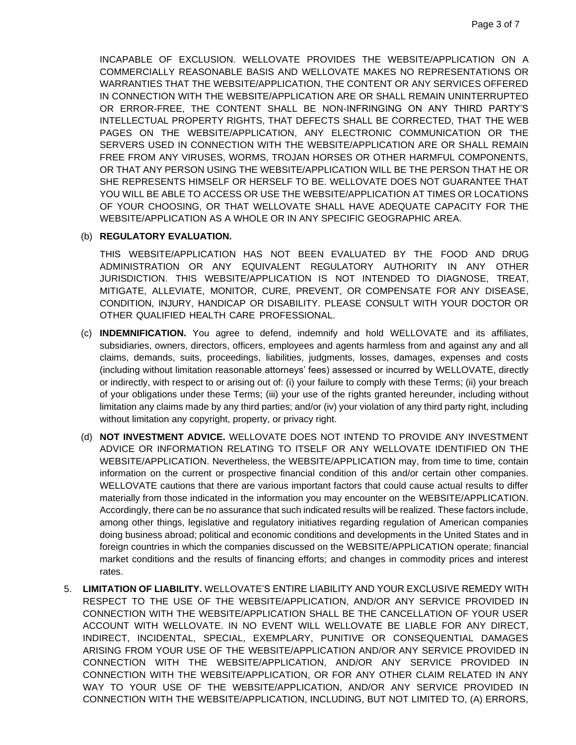INCAPABLE OF EXCLUSION. WELLOVATE PROVIDES THE WEBSITE/APPLICATION ON A COMMERCIALLY REASONABLE BASIS AND WELLOVATE MAKES NO REPRESENTATIONS OR WARRANTIES THAT THE WEBSITE/APPLICATION, THE CONTENT OR ANY SERVICES OFFERED IN CONNECTION WITH THE WEBSITE/APPLICATION ARE OR SHALL REMAIN UNINTERRUPTED OR ERROR-FREE, THE CONTENT SHALL BE NON-INFRINGING ON ANY THIRD PARTY'S INTELLECTUAL PROPERTY RIGHTS, THAT DEFECTS SHALL BE CORRECTED, THAT THE WEB PAGES ON THE WEBSITE/APPLICATION, ANY ELECTRONIC COMMUNICATION OR THE SERVERS USED IN CONNECTION WITH THE WEBSITE/APPLICATION ARE OR SHALL REMAIN FREE FROM ANY VIRUSES, WORMS, TROJAN HORSES OR OTHER HARMFUL COMPONENTS, OR THAT ANY PERSON USING THE WEBSITE/APPLICATION WILL BE THE PERSON THAT HE OR SHE REPRESENTS HIMSELF OR HERSELF TO BE. WELLOVATE DOES NOT GUARANTEE THAT YOU WILL BE ABLE TO ACCESS OR USE THE WEBSITE/APPLICATION AT TIMES OR LOCATIONS OF YOUR CHOOSING, OR THAT WELLOVATE SHALL HAVE ADEQUATE CAPACITY FOR THE WEBSITE/APPLICATION AS A WHOLE OR IN ANY SPECIFIC GEOGRAPHIC AREA.

#### (b) **REGULATORY EVALUATION.**

THIS WEBSITE/APPLICATION HAS NOT BEEN EVALUATED BY THE FOOD AND DRUG ADMINISTRATION OR ANY EQUIVALENT REGULATORY AUTHORITY IN ANY OTHER JURISDICTION. THIS WEBSITE/APPLICATION IS NOT INTENDED TO DIAGNOSE, TREAT, MITIGATE, ALLEVIATE, MONITOR, CURE, PREVENT, OR COMPENSATE FOR ANY DISEASE, CONDITION, INJURY, HANDICAP OR DISABILITY. PLEASE CONSULT WITH YOUR DOCTOR OR OTHER QUALIFIED HEALTH CARE PROFESSIONAL.

- (c) **INDEMNIFICATION.** You agree to defend, indemnify and hold WELLOVATE and its affiliates, subsidiaries, owners, directors, officers, employees and agents harmless from and against any and all claims, demands, suits, proceedings, liabilities, judgments, losses, damages, expenses and costs (including without limitation reasonable attorneys' fees) assessed or incurred by WELLOVATE, directly or indirectly, with respect to or arising out of: (i) your failure to comply with these Terms; (ii) your breach of your obligations under these Terms; (iii) your use of the rights granted hereunder, including without limitation any claims made by any third parties; and/or (iv) your violation of any third party right, including without limitation any copyright, property, or privacy right.
- (d) **NOT INVESTMENT ADVICE.** WELLOVATE DOES NOT INTEND TO PROVIDE ANY INVESTMENT ADVICE OR INFORMATION RELATING TO ITSELF OR ANY WELLOVATE IDENTIFIED ON THE WEBSITE/APPLICATION. Nevertheless, the WEBSITE/APPLICATION may, from time to time, contain information on the current or prospective financial condition of this and/or certain other companies. WELLOVATE cautions that there are various important factors that could cause actual results to differ materially from those indicated in the information you may encounter on the WEBSITE/APPLICATION. Accordingly, there can be no assurance that such indicated results will be realized. These factors include, among other things, legislative and regulatory initiatives regarding regulation of American companies doing business abroad; political and economic conditions and developments in the United States and in foreign countries in which the companies discussed on the WEBSITE/APPLICATION operate; financial market conditions and the results of financing efforts; and changes in commodity prices and interest rates.
- 5. **LIMITATION OF LIABILITY.** WELLOVATE'S ENTIRE LIABILITY AND YOUR EXCLUSIVE REMEDY WITH RESPECT TO THE USE OF THE WEBSITE/APPLICATION, AND/OR ANY SERVICE PROVIDED IN CONNECTION WITH THE WEBSITE/APPLICATION SHALL BE THE CANCELLATION OF YOUR USER ACCOUNT WITH WELLOVATE. IN NO EVENT WILL WELLOVATE BE LIABLE FOR ANY DIRECT, INDIRECT, INCIDENTAL, SPECIAL, EXEMPLARY, PUNITIVE OR CONSEQUENTIAL DAMAGES ARISING FROM YOUR USE OF THE WEBSITE/APPLICATION AND/OR ANY SERVICE PROVIDED IN CONNECTION WITH THE WEBSITE/APPLICATION, AND/OR ANY SERVICE PROVIDED IN CONNECTION WITH THE WEBSITE/APPLICATION, OR FOR ANY OTHER CLAIM RELATED IN ANY WAY TO YOUR USE OF THE WEBSITE/APPLICATION, AND/OR ANY SERVICE PROVIDED IN CONNECTION WITH THE WEBSITE/APPLICATION, INCLUDING, BUT NOT LIMITED TO, (A) ERRORS,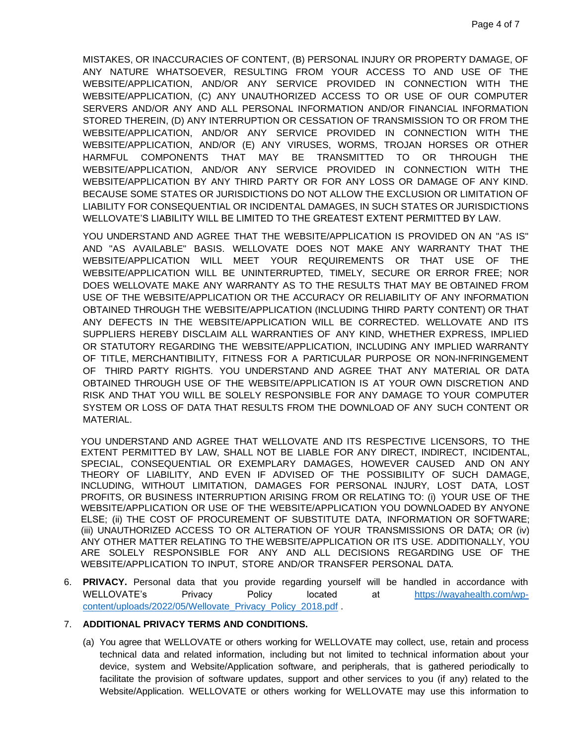MISTAKES, OR INACCURACIES OF CONTENT, (B) PERSONAL INJURY OR PROPERTY DAMAGE, OF ANY NATURE WHATSOEVER, RESULTING FROM YOUR ACCESS TO AND USE OF THE WEBSITE/APPLICATION, AND/OR ANY SERVICE PROVIDED IN CONNECTION WITH THE WEBSITE/APPLICATION, (C) ANY UNAUTHORIZED ACCESS TO OR USE OF OUR COMPUTER SERVERS AND/OR ANY AND ALL PERSONAL INFORMATION AND/OR FINANCIAL INFORMATION STORED THEREIN, (D) ANY INTERRUPTION OR CESSATION OF TRANSMISSION TO OR FROM THE WEBSITE/APPLICATION, AND/OR ANY SERVICE PROVIDED IN CONNECTION WITH THE WEBSITE/APPLICATION, AND/OR (E) ANY VIRUSES, WORMS, TROJAN HORSES OR OTHER HARMFUL COMPONENTS THAT MAY BE TRANSMITTED TO OR THROUGH THE WEBSITE/APPLICATION, AND/OR ANY SERVICE PROVIDED IN CONNECTION WITH THE WEBSITE/APPLICATION BY ANY THIRD PARTY OR FOR ANY LOSS OR DAMAGE OF ANY KIND. BECAUSE SOME STATES OR JURISDICTIONS DO NOT ALLOW THE EXCLUSION OR LIMITATION OF LIABILITY FOR CONSEQUENTIAL OR INCIDENTAL DAMAGES, IN SUCH STATES OR JURISDICTIONS WELLOVATE'S LIABILITY WILL BE LIMITED TO THE GREATEST EXTENT PERMITTED BY LAW.

YOU UNDERSTAND AND AGREE THAT THE WEBSITE/APPLICATION IS PROVIDED ON AN "AS IS" AND "AS AVAILABLE" BASIS. WELLOVATE DOES NOT MAKE ANY WARRANTY THAT THE WEBSITE/APPLICATION WILL MEET YOUR REQUIREMENTS OR THAT USE OF THE WEBSITE/APPLICATION WILL BE UNINTERRUPTED, TIMELY, SECURE OR ERROR FREE; NOR DOES WELLOVATE MAKE ANY WARRANTY AS TO THE RESULTS THAT MAY BE OBTAINED FROM USE OF THE WEBSITE/APPLICATION OR THE ACCURACY OR RELIABILITY OF ANY INFORMATION OBTAINED THROUGH THE WEBSITE/APPLICATION (INCLUDING THIRD PARTY CONTENT) OR THAT ANY DEFECTS IN THE WEBSITE/APPLICATION WILL BE CORRECTED. WELLOVATE AND ITS SUPPLIERS HEREBY DISCLAIM ALL WARRANTIES OF ANY KIND, WHETHER EXPRESS, IMPLIED OR STATUTORY REGARDING THE WEBSITE/APPLICATION, INCLUDING ANY IMPLIED WARRANTY OF TITLE, MERCHANTIBILITY, FITNESS FOR A PARTICULAR PURPOSE OR NON-INFRINGEMENT OF THIRD PARTY RIGHTS. YOU UNDERSTAND AND AGREE THAT ANY MATERIAL OR DATA OBTAINED THROUGH USE OF THE WEBSITE/APPLICATION IS AT YOUR OWN DISCRETION AND RISK AND THAT YOU WILL BE SOLELY RESPONSIBLE FOR ANY DAMAGE TO YOUR COMPUTER SYSTEM OR LOSS OF DATA THAT RESULTS FROM THE DOWNLOAD OF ANY SUCH CONTENT OR MATERIAL.

YOU UNDERSTAND AND AGREE THAT WELLOVATE AND ITS RESPECTIVE LICENSORS, TO THE EXTENT PERMITTED BY LAW, SHALL NOT BE LIABLE FOR ANY DIRECT, INDIRECT, INCIDENTAL, SPECIAL, CONSEQUENTIAL OR EXEMPLARY DAMAGES, HOWEVER CAUSED AND ON ANY THEORY OF LIABILITY, AND EVEN IF ADVISED OF THE POSSIBILITY OF SUCH DAMAGE, INCLUDING, WITHOUT LIMITATION, DAMAGES FOR PERSONAL INJURY, LOST DATA, LOST PROFITS, OR BUSINESS INTERRUPTION ARISING FROM OR RELATING TO: (i) YOUR USE OF THE WEBSITE/APPLICATION OR USE OF THE WEBSITE/APPLICATION YOU DOWNLOADED BY ANYONE ELSE; (ii) THE COST OF PROCUREMENT OF SUBSTITUTE DATA, INFORMATION OR SOFTWARE; (iii) UNAUTHORIZED ACCESS TO OR ALTERATION OF YOUR TRANSMISSIONS OR DATA; OR (iv) ANY OTHER MATTER RELATING TO THE WEBSITE/APPLICATION OR ITS USE. ADDITIONALLY, YOU ARE SOLELY RESPONSIBLE FOR ANY AND ALL DECISIONS REGARDING USE OF THE WEBSITE/APPLICATION TO INPUT, STORE AND/OR TRANSFER PERSONAL DATA.

6. **PRIVACY.** Personal data that you provide regarding yourself will be handled in accordance with WELLOVATE's Privacy Policy located at [https://wayahealth.com/wp](https://wayahealth.com/wp-content/uploads/2022/05/Wellovate_Privacy_Policy_2018.pdf)[content/uploads/2022/05/Wellovate\\_Privacy\\_Policy\\_2018.pdf](https://wayahealth.com/wp-content/uploads/2022/05/Wellovate_Privacy_Policy_2018.pdf) .

## 7. **ADDITIONAL PRIVACY TERMS AND CONDITIONS.**

(a) You agree that WELLOVATE or others working for WELLOVATE may collect, use, retain and process technical data and related information, including but not limited to technical information about your device, system and Website/Application software, and peripherals, that is gathered periodically to facilitate the provision of software updates, support and other services to you (if any) related to the Website/Application. WELLOVATE or others working for WELLOVATE may use this information to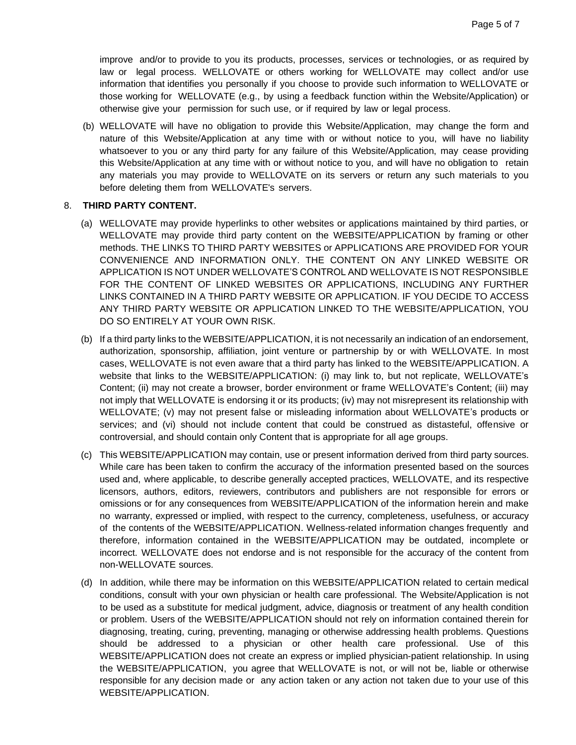improve and/or to provide to you its products, processes, services or technologies, or as required by law or legal process. WELLOVATE or others working for WELLOVATE may collect and/or use information that identifies you personally if you choose to provide such information to WELLOVATE or those working for WELLOVATE (e.g., by using a feedback function within the Website/Application) or otherwise give your permission for such use, or if required by law or legal process.

(b) WELLOVATE will have no obligation to provide this Website/Application, may change the form and nature of this Website/Application at any time with or without notice to you, will have no liability whatsoever to you or any third party for any failure of this Website/Application, may cease providing this Website/Application at any time with or without notice to you, and will have no obligation to retain any materials you may provide to WELLOVATE on its servers or return any such materials to you before deleting them from WELLOVATE's servers.

## 8. **THIRD PARTY CONTENT.**

- (a) WELLOVATE may provide hyperlinks to other websites or applications maintained by third parties, or WELLOVATE may provide third party content on the WEBSITE/APPLICATION by framing or other methods. THE LINKS TO THIRD PARTY WEBSITES or APPLICATIONS ARE PROVIDED FOR YOUR CONVENIENCE AND INFORMATION ONLY. THE CONTENT ON ANY LINKED WEBSITE OR APPLICATION IS NOT UNDER WELLOVATE'S CONTROL AND WELLOVATE IS NOT RESPONSIBLE FOR THE CONTENT OF LINKED WEBSITES OR APPLICATIONS, INCLUDING ANY FURTHER LINKS CONTAINED IN A THIRD PARTY WEBSITE OR APPLICATION. IF YOU DECIDE TO ACCESS ANY THIRD PARTY WEBSITE OR APPLICATION LINKED TO THE WEBSITE/APPLICATION, YOU DO SO ENTIRELY AT YOUR OWN RISK.
- (b) If a third party links to the WEBSITE/APPLICATION, it is not necessarily an indication of an endorsement, authorization, sponsorship, affiliation, joint venture or partnership by or with WELLOVATE. In most cases, WELLOVATE is not even aware that a third party has linked to the WEBSITE/APPLICATION. A website that links to the WEBSITE/APPLICATION: (i) may link to, but not replicate, WELLOVATE's Content; (ii) may not create a browser, border environment or frame WELLOVATE's Content; (iii) may not imply that WELLOVATE is endorsing it or its products; (iv) may not misrepresent its relationship with WELLOVATE; (v) may not present false or misleading information about WELLOVATE's products or services; and (vi) should not include content that could be construed as distasteful, offensive or controversial, and should contain only Content that is appropriate for all age groups.
- (c) This WEBSITE/APPLICATION may contain, use or present information derived from third party sources. While care has been taken to confirm the accuracy of the information presented based on the sources used and, where applicable, to describe generally accepted practices, WELLOVATE, and its respective licensors, authors, editors, reviewers, contributors and publishers are not responsible for errors or omissions or for any consequences from WEBSITE/APPLICATION of the information herein and make no warranty, expressed or implied, with respect to the currency, completeness, usefulness, or accuracy of the contents of the WEBSITE/APPLICATION. Wellness-related information changes frequently and therefore, information contained in the WEBSITE/APPLICATION may be outdated, incomplete or incorrect. WELLOVATE does not endorse and is not responsible for the accuracy of the content from non-WELLOVATE sources.
- (d) In addition, while there may be information on this WEBSITE/APPLICATION related to certain medical conditions, consult with your own physician or health care professional. The Website/Application is not to be used as a substitute for medical judgment, advice, diagnosis or treatment of any health condition or problem. Users of the WEBSITE/APPLICATION should not rely on information contained therein for diagnosing, treating, curing, preventing, managing or otherwise addressing health problems. Questions should be addressed to a physician or other health care professional. Use of this WEBSITE/APPLICATION does not create an express or implied physician-patient relationship. In using the WEBSITE/APPLICATION, you agree that WELLOVATE is not, or will not be, liable or otherwise responsible for any decision made or any action taken or any action not taken due to your use of this WEBSITE/APPLICATION.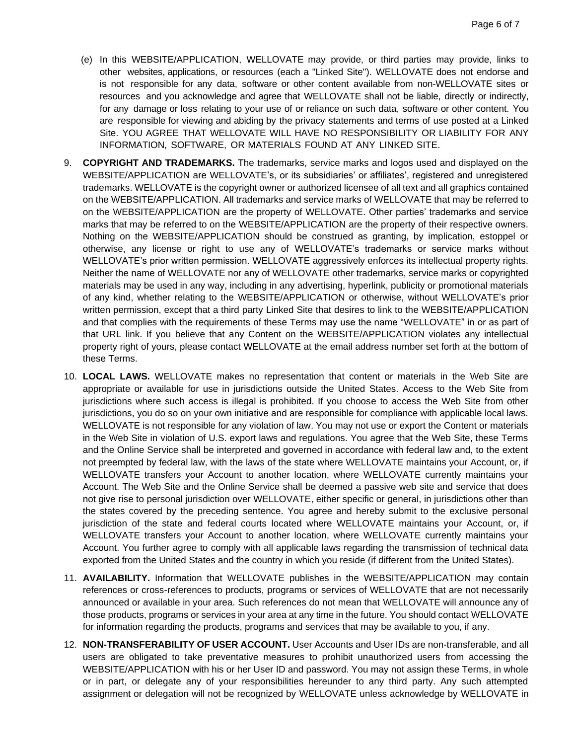- (e) In this WEBSITE/APPLICATION, WELLOVATE may provide, or third parties may provide, links to other websites, applications, or resources (each a "Linked Site"). WELLOVATE does not endorse and is not responsible for any data, software or other content available from non-WELLOVATE sites or resources and you acknowledge and agree that WELLOVATE shall not be liable, directly or indirectly, for any damage or loss relating to your use of or reliance on such data, software or other content. You are responsible for viewing and abiding by the privacy statements and terms of use posted at a Linked Site. YOU AGREE THAT WELLOVATE WILL HAVE NO RESPONSIBILITY OR LIABILITY FOR ANY INFORMATION, SOFTWARE, OR MATERIALS FOUND AT ANY LINKED SITE.
- 9. **COPYRIGHT AND TRADEMARKS.** The trademarks, service marks and logos used and displayed on the WEBSITE/APPLICATION are WELLOVATE's, or its subsidiaries' or affiliates', registered and unregistered trademarks. WELLOVATE is the copyright owner or authorized licensee of all text and all graphics contained on the WEBSITE/APPLICATION. All trademarks and service marks of WELLOVATE that may be referred to on the WEBSITE/APPLICATION are the property of WELLOVATE. Other parties' trademarks and service marks that may be referred to on the WEBSITE/APPLICATION are the property of their respective owners. Nothing on the WEBSITE/APPLICATION should be construed as granting, by implication, estoppel or otherwise, any license or right to use any of WELLOVATE's trademarks or service marks without WELLOVATE's prior written permission. WELLOVATE aggressively enforces its intellectual property rights. Neither the name of WELLOVATE nor any of WELLOVATE other trademarks, service marks or copyrighted materials may be used in any way, including in any advertising, hyperlink, publicity or promotional materials of any kind, whether relating to the WEBSITE/APPLICATION or otherwise, without WELLOVATE's prior written permission, except that a third party Linked Site that desires to link to the WEBSITE/APPLICATION and that complies with the requirements of these Terms may use the name "WELLOVATE" in or as part of that URL link. If you believe that any Content on the WEBSITE/APPLICATION violates any intellectual property right of yours, please contact WELLOVATE at the email address number set forth at the bottom of these Terms.
- 10. **LOCAL LAWS.** WELLOVATE makes no representation that content or materials in the Web Site are appropriate or available for use in jurisdictions outside the United States. Access to the Web Site from jurisdictions where such access is illegal is prohibited. If you choose to access the Web Site from other jurisdictions, you do so on your own initiative and are responsible for compliance with applicable local laws. WELLOVATE is not responsible for any violation of law. You may not use or export the Content or materials in the Web Site in violation of U.S. export laws and regulations. You agree that the Web Site, these Terms and the Online Service shall be interpreted and governed in accordance with federal law and, to the extent not preempted by federal law, with the laws of the state where WELLOVATE maintains your Account, or, if WELLOVATE transfers your Account to another location, where WELLOVATE currently maintains your Account. The Web Site and the Online Service shall be deemed a passive web site and service that does not give rise to personal jurisdiction over WELLOVATE, either specific or general, in jurisdictions other than the states covered by the preceding sentence. You agree and hereby submit to the exclusive personal jurisdiction of the state and federal courts located where WELLOVATE maintains your Account, or, if WELLOVATE transfers your Account to another location, where WELLOVATE currently maintains your Account. You further agree to comply with all applicable laws regarding the transmission of technical data exported from the United States and the country in which you reside (if different from the United States).
- 11. **AVAILABILITY.** Information that WELLOVATE publishes in the WEBSITE/APPLICATION may contain references or cross-references to products, programs or services of WELLOVATE that are not necessarily announced or available in your area. Such references do not mean that WELLOVATE will announce any of those products, programs or services in your area at any time in the future. You should contact WELLOVATE for information regarding the products, programs and services that may be available to you, if any.
- 12. **NON-TRANSFERABILITY OF USER ACCOUNT.** User Accounts and User IDs are non-transferable, and all users are obligated to take preventative measures to prohibit unauthorized users from accessing the WEBSITE/APPLICATION with his or her User ID and password. You may not assign these Terms, in whole or in part, or delegate any of your responsibilities hereunder to any third party. Any such attempted assignment or delegation will not be recognized by WELLOVATE unless acknowledge by WELLOVATE in